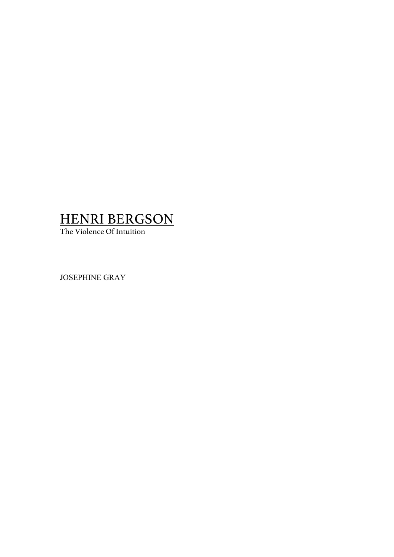# HENRI BERGSON

The Violence Of Intuition

JOSEPHINE GRAY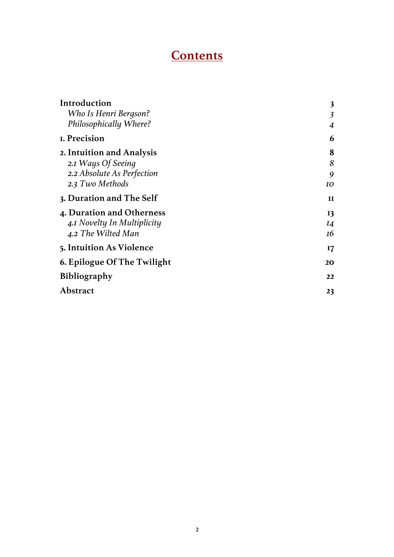# **Contents**

| Introduction                | $\overline{\mathbf{3}}$ |
|-----------------------------|-------------------------|
| Who Is Henri Bergson?       | $\overline{\mathbf{3}}$ |
| Philosophically Where?      | 4                       |
| I. Precision                | 6                       |
| 2. Intuition and Analysis   | 8                       |
| 2.1 Ways Of Seeing          | 8                       |
| 2.2 Absolute As Perfection  | 9                       |
| 2.3 Two Methods             | 10                      |
| 3. Duration and The Self    | $\mathbf{H}$            |
| 4. Duration and Otherness   | 13                      |
| 4.1 Novelty In Multiplicity | <b>I4</b>               |
| 4.2 The Wilted Man          | 16                      |
| 5. Intuition As Violence    | 17                      |
| 6. Epilogue Of The Twilight | 20                      |
| <b>Bibliography</b>         | 22                      |
| Abstract                    | 23                      |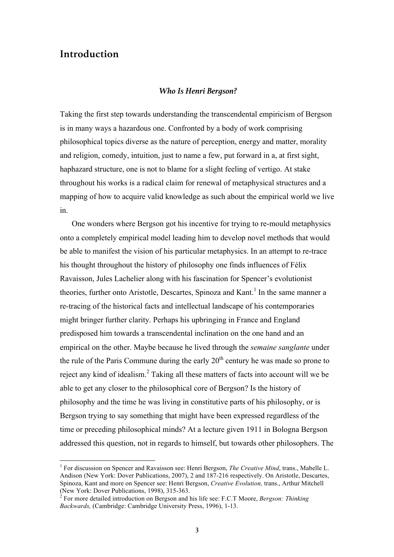## **Introduction**

#### *Who Is Henri Bergson?*

Taking the first step towards understanding the transcendental empiricism of Bergson is in many ways a hazardous one. Confronted by a body of work comprising philosophical topics diverse as the nature of perception, energy and matter, morality and religion, comedy, intuition, just to name a few, put forward in a, at first sight, haphazard structure, one is not to blame for a slight feeling of vertigo. At stake throughout his works is a radical claim for renewal of metaphysical structures and a mapping of how to acquire valid knowledge as such about the empirical world we live in.

One wonders where Bergson got his incentive for trying to re-mould metaphysics onto a completely empirical model leading him to develop novel methods that would be able to manifest the vision of his particular metaphysics. In an attempt to re-trace his thought throughout the history of philosophy one finds influences of Félix Ravaisson, Jules Lachelier along with his fascination for Spencer's evolutionist theories, further onto Aristotle, Descartes, Spinoza and Kant. <sup>1</sup> In the same manner a re-tracing of the historical facts and intellectual landscape of his contemporaries might bringer further clarity. Perhaps his upbringing in France and England predisposed him towards a transcendental inclination on the one hand and an empirical on the other. Maybe because he lived through the *semaine sanglante* under the rule of the Paris Commune during the early  $20<sup>th</sup>$  century he was made so prone to reject any kind of idealism.<sup>2</sup> Taking all these matters of facts into account will we be able to get any closer to the philosophical core of Bergson? Is the history of philosophy and the time he was living in constitutive parts of his philosophy, or is Bergson trying to say something that might have been expressed regardless of the time or preceding philosophical minds? At a lecture given 1911 in Bologna Bergson addressed this question, not in regards to himself, but towards other philosophers. The

 <sup>1</sup> For discussion on Spencer and Ravaisson see: Henri Bergson, *The Creative Mind*, trans., Mabelle L. Andison (New York: Dover Publications, 2007), 2 and 187-216 respectively. On Aristotle, Descartes, Spinoza, Kant and more on Spencer see: Henri Bergson, *Creative Evolution,* trans., Arthur Mitchell

<sup>(</sup>New York: Dover Publications, 1998), 315-363. <sup>2</sup> For more detailed introduction on Bergson and his life see: F.C.T Moore, *Bergson: Thinking Backwards,* (Cambridge: Cambridge University Press, 1996), 1-13.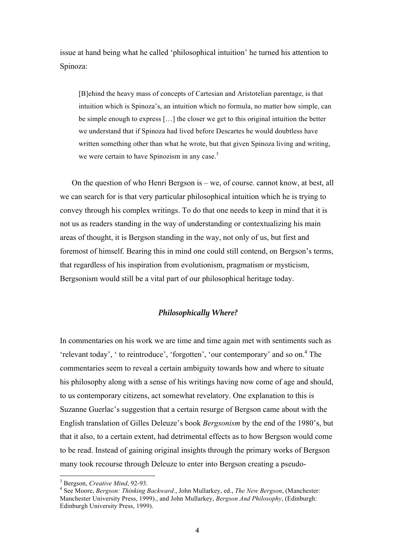issue at hand being what he called 'philosophical intuition' he turned his attention to Spinoza:

[B]ehind the heavy mass of concepts of Cartesian and Aristotelian parentage, is that intuition which is Spinoza's, an intuition which no formula, no matter how simple, can be simple enough to express […] the closer we get to this original intuition the better we understand that if Spinoza had lived before Descartes he would doubtless have written something other than what he wrote, but that given Spinoza living and writing, we were certain to have Spinozism in any case.<sup>3</sup>

On the question of who Henri Bergson is – we, of course. cannot know, at best, all we can search for is that very particular philosophical intuition which he is trying to convey through his complex writings. To do that one needs to keep in mind that it is not us as readers standing in the way of understanding or contextualizing his main areas of thought, it is Bergson standing in the way, not only of us, but first and foremost of himself. Bearing this in mind one could still contend, on Bergson's terms, that regardless of his inspiration from evolutionism, pragmatism or mysticism, Bergsonism would still be a vital part of our philosophical heritage today.

### *Philosophically Where?*

In commentaries on his work we are time and time again met with sentiments such as 'relevant today', ' to reintroduce', 'forgotten', 'our contemporary' and so on.<sup>4</sup> The commentaries seem to reveal a certain ambiguity towards how and where to situate his philosophy along with a sense of his writings having now come of age and should, to us contemporary citizens, act somewhat revelatory. One explanation to this is Suzanne Guerlac's suggestion that a certain resurge of Bergson came about with the English translation of Gilles Deleuze's book *Bergsonism* by the end of the 1980's, but that it also, to a certain extent, had detrimental effects as to how Bergson would come to be read. Instead of gaining original insights through the primary works of Bergson many took recourse through Deleuze to enter into Bergson creating a pseudo-

<sup>&</sup>lt;sup>3</sup> Bergson, *Creative Mind*, 92-93.<br><sup>4</sup> See Moore, *Bergson: Thinking Backward*., John Mullarkey, ed., *The New Bergson*, (Manchester: Manchester University Press, 1999)., and John Mullarkey, *Bergson And Philosophy*, (Edinburgh: Edinburgh University Press, 1999).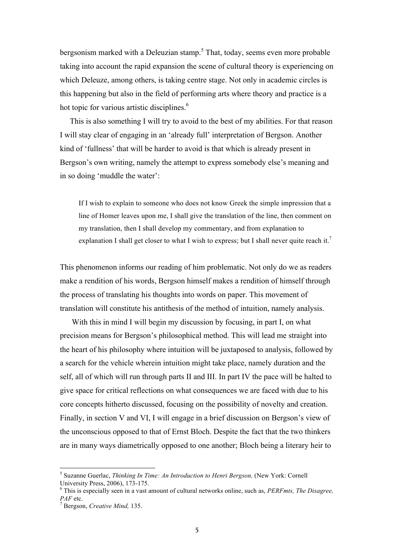bergsonism marked with a Deleuzian stamp.<sup>5</sup> That, today, seems even more probable taking into account the rapid expansion the scene of cultural theory is experiencing on which Deleuze, among others, is taking centre stage. Not only in academic circles is this happening but also in the field of performing arts where theory and practice is a hot topic for various artistic disciplines.<sup>6</sup>

 This is also something I will try to avoid to the best of my abilities. For that reason I will stay clear of engaging in an 'already full' interpretation of Bergson. Another kind of 'fullness' that will be harder to avoid is that which is already present in Bergson's own writing, namely the attempt to express somebody else's meaning and in so doing 'muddle the water':

If I wish to explain to someone who does not know Greek the simple impression that a line of Homer leaves upon me, I shall give the translation of the line, then comment on my translation, then I shall develop my commentary, and from explanation to explanation I shall get closer to what I wish to express; but I shall never quite reach it.<sup>7</sup>

This phenomenon informs our reading of him problematic. Not only do we as readers make a rendition of his words, Bergson himself makes a rendition of himself through the process of translating his thoughts into words on paper. This movement of translation will constitute his antithesis of the method of intuition, namely analysis.

With this in mind I will begin my discussion by focusing, in part I, on what precision means for Bergson's philosophical method. This will lead me straight into the heart of his philosophy where intuition will be juxtaposed to analysis, followed by a search for the vehicle wherein intuition might take place, namely duration and the self, all of which will run through parts II and III. In part IV the pace will be halted to give space for critical reflections on what consequences we are faced with due to his core concepts hitherto discussed, focusing on the possibility of novelty and creation. Finally, in section V and VI, I will engage in a brief discussion on Bergson's view of the unconscious opposed to that of Ernst Bloch. Despite the fact that the two thinkers are in many ways diametrically opposed to one another; Bloch being a literary heir to

<sup>&</sup>lt;sup>5</sup> Suzanne Guerlac, *Thinking In Time: An Introduction to Henri Bergson*, (New York: Cornell University Press. 2006). 173-175.

 $\epsilon$ <sup>6</sup> This is especially seen in a vast amount of cultural networks online, such as, *PERFmts, The Disagree, PAF* etc.<br><sup>7</sup> Bergson, *Creative Mind*, 135.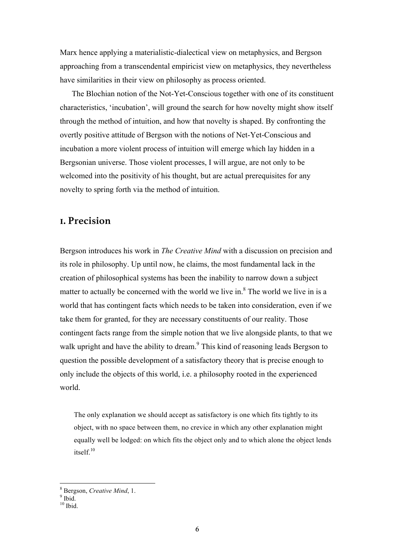Marx hence applying a materialistic-dialectical view on metaphysics, and Bergson approaching from a transcendental empiricist view on metaphysics, they nevertheless have similarities in their view on philosophy as process oriented.

The Blochian notion of the Not-Yet-Conscious together with one of its constituent characteristics, 'incubation', will ground the search for how novelty might show itself through the method of intuition, and how that novelty is shaped. By confronting the overtly positive attitude of Bergson with the notions of Net-Yet-Conscious and incubation a more violent process of intuition will emerge which lay hidden in a Bergsonian universe. Those violent processes, I will argue, are not only to be welcomed into the positivity of his thought, but are actual prerequisites for any novelty to spring forth via the method of intuition.

## **1. Precision**

Bergson introduces his work in *The Creative Mind* with a discussion on precision and its role in philosophy. Up until now, he claims, the most fundamental lack in the creation of philosophical systems has been the inability to narrow down a subject matter to actually be concerned with the world we live in. $8$  The world we live in is a world that has contingent facts which needs to be taken into consideration, even if we take them for granted, for they are necessary constituents of our reality. Those contingent facts range from the simple notion that we live alongside plants, to that we walk upright and have the ability to dream.<sup>9</sup> This kind of reasoning leads Bergson to question the possible development of a satisfactory theory that is precise enough to only include the objects of this world, i.e. a philosophy rooted in the experienced world.

The only explanation we should accept as satisfactory is one which fits tightly to its object, with no space between them, no crevice in which any other explanation might equally well be lodged: on which fits the object only and to which alone the object lends itself.<sup>10</sup>

<sup>&</sup>lt;sup>8</sup> Bergson, *Creative Mind*, 1.<br><sup>9</sup> Ibid.

 $^{10}$  Ibid.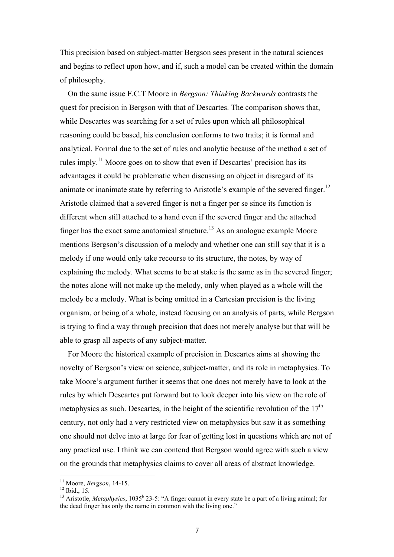This precision based on subject-matter Bergson sees present in the natural sciences and begins to reflect upon how, and if, such a model can be created within the domain of philosophy.

 On the same issue F.C.T Moore in *Bergson: Thinking Backwards* contrasts the quest for precision in Bergson with that of Descartes. The comparison shows that, while Descartes was searching for a set of rules upon which all philosophical reasoning could be based, his conclusion conforms to two traits; it is formal and analytical. Formal due to the set of rules and analytic because of the method a set of rules imply.<sup>11</sup> Moore goes on to show that even if Descartes' precision has its advantages it could be problematic when discussing an object in disregard of its animate or inanimate state by referring to Aristotle's example of the severed finger.<sup>12</sup> Aristotle claimed that a severed finger is not a finger per se since its function is different when still attached to a hand even if the severed finger and the attached finger has the exact same anatomical structure.<sup>13</sup> As an analogue example Moore mentions Bergson's discussion of a melody and whether one can still say that it is a melody if one would only take recourse to its structure, the notes, by way of explaining the melody. What seems to be at stake is the same as in the severed finger; the notes alone will not make up the melody, only when played as a whole will the melody be a melody. What is being omitted in a Cartesian precision is the living organism, or being of a whole, instead focusing on an analysis of parts, while Bergson is trying to find a way through precision that does not merely analyse but that will be able to grasp all aspects of any subject-matter.

 For Moore the historical example of precision in Descartes aims at showing the novelty of Bergson's view on science, subject-matter, and its role in metaphysics. To take Moore's argument further it seems that one does not merely have to look at the rules by which Descartes put forward but to look deeper into his view on the role of metaphysics as such. Descartes, in the height of the scientific revolution of the  $17<sup>th</sup>$ century, not only had a very restricted view on metaphysics but saw it as something one should not delve into at large for fear of getting lost in questions which are not of any practical use. I think we can contend that Bergson would agree with such a view on the grounds that metaphysics claims to cover all areas of abstract knowledge.

<sup>&</sup>lt;sup>11</sup> Moore, *Bergson*, 14-15.<br><sup>12</sup> Ibid., 15.<br><sup>13</sup> Aristotle, *Metaphysics*, 1035<sup>b</sup> 23-5: "A finger cannot in every state be a part of a living animal; for the dead finger has only the name in common with the living one."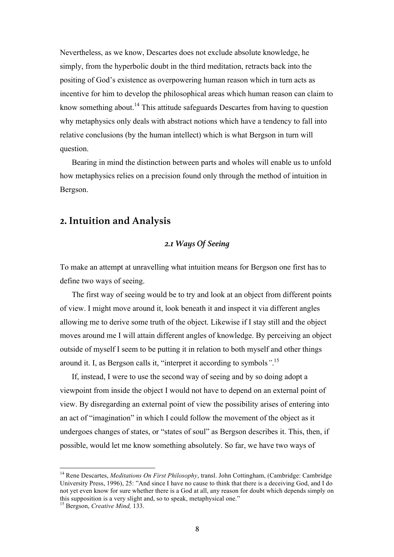Nevertheless, as we know, Descartes does not exclude absolute knowledge, he simply, from the hyperbolic doubt in the third meditation, retracts back into the positing of God's existence as overpowering human reason which in turn acts as incentive for him to develop the philosophical areas which human reason can claim to know something about.<sup>14</sup> This attitude safeguards Descartes from having to question why metaphysics only deals with abstract notions which have a tendency to fall into relative conclusions (by the human intellect) which is what Bergson in turn will question.

Bearing in mind the distinction between parts and wholes will enable us to unfold how metaphysics relies on a precision found only through the method of intuition in Bergson.

## **2. Intuition and Analysis**

### *2.1 Ways Of Seeing*

To make an attempt at unravelling what intuition means for Bergson one first has to define two ways of seeing.

The first way of seeing would be to try and look at an object from different points of view. I might move around it, look beneath it and inspect it via different angles allowing me to derive some truth of the object. Likewise if I stay still and the object moves around me I will attain different angles of knowledge. By perceiving an object outside of myself I seem to be putting it in relation to both myself and other things around it. I, as Bergson calls it, "interpret it according to symbols*"*. 15

If, instead, I were to use the second way of seeing and by so doing adopt a viewpoint from inside the object I would not have to depend on an external point of view. By disregarding an external point of view the possibility arises of entering into an act of "imagination" in which I could follow the movement of the object as it undergoes changes of states, or "states of soul" as Bergson describes it. This, then, if possible, would let me know something absolutely. So far, we have two ways of

 <sup>14</sup> Rene Descartes, *Meditations On First Philosophy*, transl. John Cottingham, (Cambridge: Cambridge University Press, 1996), 25: "And since I have no cause to think that there is a deceiving God, and I do not yet even know for sure whether there is a God at all, any reason for doubt which depends simply on this supposition is a very slight and, so to speak, metaphysical one." <sup>15</sup> Bergson, *Creative Mind,* 133.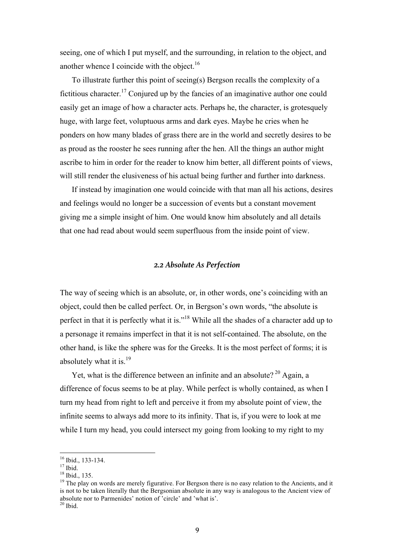seeing, one of which I put myself, and the surrounding, in relation to the object, and another whence I coincide with the object.<sup>16</sup>

To illustrate further this point of seeing(s) Bergson recalls the complexity of a fictitious character.<sup>17</sup> Conjured up by the fancies of an imaginative author one could easily get an image of how a character acts. Perhaps he, the character, is grotesquely huge, with large feet, voluptuous arms and dark eyes. Maybe he cries when he ponders on how many blades of grass there are in the world and secretly desires to be as proud as the rooster he sees running after the hen. All the things an author might ascribe to him in order for the reader to know him better, all different points of views, will still render the elusiveness of his actual being further and further into darkness.

If instead by imagination one would coincide with that man all his actions, desires and feelings would no longer be a succession of events but a constant movement giving me a simple insight of him. One would know him absolutely and all details that one had read about would seem superfluous from the inside point of view.

#### *2.2 Absolute As Perfection*

The way of seeing which is an absolute, or, in other words, one's coinciding with an object, could then be called perfect. Or, in Bergson's own words, "the absolute is perfect in that it is perfectly what it is."<sup>18</sup> While all the shades of a character add up to a personage it remains imperfect in that it is not self-contained. The absolute, on the other hand, is like the sphere was for the Greeks. It is the most perfect of forms; it is absolutely what it is. $19$ 

Yet, what is the difference between an infinite and an absolute?<sup>20</sup> Again, a difference of focus seems to be at play. While perfect is wholly contained, as when I turn my head from right to left and perceive it from my absolute point of view, the infinite seems to always add more to its infinity. That is, if you were to look at me while I turn my head, you could intersect my going from looking to my right to my

<sup>&</sup>lt;sup>16</sup> Ibid., 133-134.<br><sup>17</sup> Ibid.<br><sup>18</sup> Ibid., 135.<br><sup>19</sup> The play on words are merely figurative. For Bergson there is no easy relation to the Ancients, and it is not to be taken literally that the Bergsonian absolute in any way is analogous to the Ancient view of absolute nor to Parmenides' notion of 'circle' and 'what is'.

 $20$  Ibid.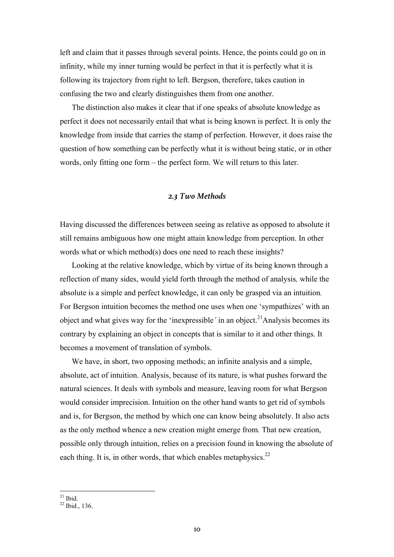left and claim that it passes through several points. Hence, the points could go on in infinity, while my inner turning would be perfect in that it is perfectly what it is following its trajectory from right to left. Bergson, therefore, takes caution in confusing the two and clearly distinguishes them from one another.

The distinction also makes it clear that if one speaks of absolute knowledge as perfect it does not necessarily entail that what is being known is perfect. It is only the knowledge from inside that carries the stamp of perfection. However, it does raise the question of how something can be perfectly what it is without being static, or in other words, only fitting one form – the perfect form. We will return to this later.

### *2.3 Two Methods*

Having discussed the differences between seeing as relative as opposed to absolute it still remains ambiguous how one might attain knowledge from perception. In other words what or which method(s) does one need to reach these insights?

Looking at the relative knowledge, which by virtue of its being known through a reflection of many sides, would yield forth through the method of analysis*,* while the absolute is a simple and perfect knowledge, it can only be grasped via an intuition*.* For Bergson intuition becomes the method one uses when one 'sympathizes' with an object and what gives way for the 'inexpressible' in an object.<sup>21</sup>Analysis becomes its contrary by explaining an object in concepts that is similar to it and other things. It becomes a movement of translation of symbols.

We have, in short, two opposing methods; an infinite analysis and a simple, absolute, act of intuition. Analysis, because of its nature, is what pushes forward the natural sciences. It deals with symbols and measure, leaving room for what Bergson would consider imprecision. Intuition on the other hand wants to get rid of symbols and is, for Bergson, the method by which one can know being absolutely. It also acts as the only method whence a new creation might emerge from*.* That new creation, possible only through intuition, relies on a precision found in knowing the absolute of each thing. It is, in other words, that which enables metaphysics. $^{22}$ 

 $^{21}$  Ibid.<br> $^{22}$  Ibid., 136.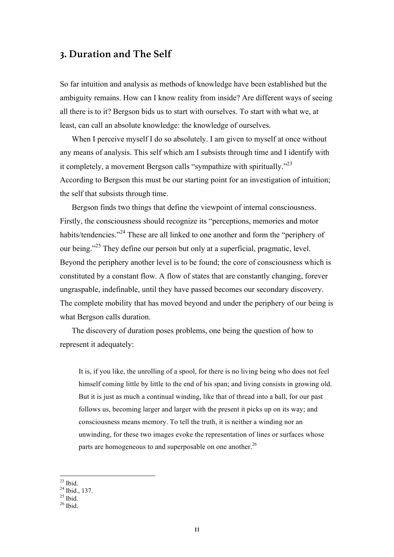## **3. Duration and The Self**

So far intuition and analysis as methods of knowledge have been established but the ambiguity remains. How can I know reality from inside? Are different ways of seeing all there is to it? Bergson bids us to start with ourselves. To start with what we, at least, can call an absolute knowledge: the knowledge of ourselves.

When I perceive myself I do so absolutely. I am given to myself at once without any means of analysis. This self which am I subsists through time and I identify with it completely, a movement Bergson calls "sympathize with spiritually."<sup>23</sup> According to Bergson this must be our starting point for an investigation of intuition; the self that subsists through time.

Bergson finds two things that define the viewpoint of internal consciousness. Firstly, the consciousness should recognize its "perceptions, memories and motor habits/tendencies."<sup>24</sup> These are all linked to one another and form the "periphery of our being."<sup>25</sup> They define our person but only at a superficial, pragmatic, level. Beyond the periphery another level is to be found; the core of consciousness which is constituted by a constant flow. A flow of states that are constantly changing, forever ungraspable, indefinable, until they have passed becomes our secondary discovery. The complete mobility that has moved beyond and under the periphery of our being is what Bergson calls duration.

The discovery of duration poses problems, one being the question of how to represent it adequately:

It is, if you like, the unrolling of a spool, for there is no living being who does not feel himself coming little by little to the end of his span; and living consists in growing old. But it is just as much a continual winding, like that of thread into a ball, for our past follows us, becoming larger and larger with the present it picks up on its way; and consciousness means memory. To tell the truth, it is neither a winding nor an unwinding, for these two images evoke the representation of lines or surfaces whose parts are homogeneous to and superposable on one another.<sup>26</sup>

 $\frac{23}{24}$  Ibid.<br> $\frac{24}{1}$  Ibid., 137.<br> $\frac{25}{16}$  Ibid.<br> $\frac{26}{1}$  Ibid.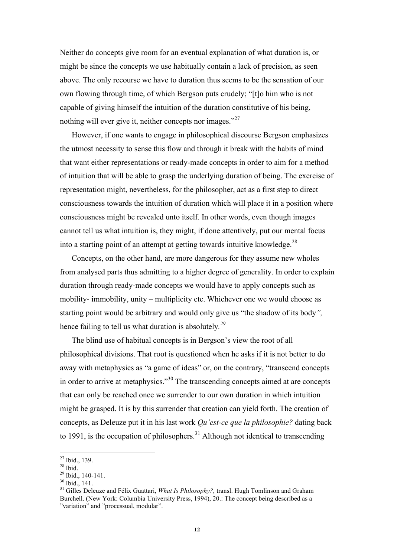Neither do concepts give room for an eventual explanation of what duration is, or might be since the concepts we use habitually contain a lack of precision, as seen above. The only recourse we have to duration thus seems to be the sensation of our own flowing through time, of which Bergson puts crudely; "[t]o him who is not capable of giving himself the intuition of the duration constitutive of his being, nothing will ever give it, neither concepts nor images."<sup>27</sup>

However, if one wants to engage in philosophical discourse Bergson emphasizes the utmost necessity to sense this flow and through it break with the habits of mind that want either representations or ready-made concepts in order to aim for a method of intuition that will be able to grasp the underlying duration of being. The exercise of representation might, nevertheless, for the philosopher, act as a first step to direct consciousness towards the intuition of duration which will place it in a position where consciousness might be revealed unto itself. In other words, even though images cannot tell us what intuition is, they might, if done attentively, put our mental focus into a starting point of an attempt at getting towards intuitive knowledge.<sup>28</sup>

Concepts, on the other hand, are more dangerous for they assume new wholes from analysed parts thus admitting to a higher degree of generality. In order to explain duration through ready-made concepts we would have to apply concepts such as mobility- immobility, unity – multiplicity etc. Whichever one we would choose as starting point would be arbitrary and would only give us "the shadow of its body*",*  hence failing to tell us what duration is absolutely*. 29*

The blind use of habitual concepts is in Bergson's view the root of all philosophical divisions. That root is questioned when he asks if it is not better to do away with metaphysics as "a game of ideas" or, on the contrary, "transcend concepts in order to arrive at metaphysics.<sup>30</sup> The transcending concepts aimed at are concepts that can only be reached once we surrender to our own duration in which intuition might be grasped. It is by this surrender that creation can yield forth. The creation of concepts, as Deleuze put it in his last work *Qu'est-ce que la philosophie?* dating back to 1991, is the occupation of philosophers.<sup>31</sup> Although not identical to transcending

<sup>&</sup>lt;sup>27</sup> Ibid., 139.<br><sup>28</sup> Ibid., 140-141.<br><sup>39</sup> Ibid., 140-141.<br><sup>31</sup> Gilles Deleuze and Félix Guattari, *What Is Philosophy?*, transl. Hugh Tomlinson and Graham Burchell. (New York: Columbia University Press, 1994), 20.: The concept being described as a "variation" and "processual, modular".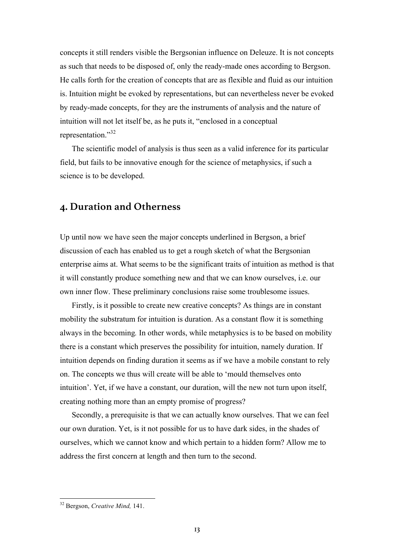concepts it still renders visible the Bergsonian influence on Deleuze. It is not concepts as such that needs to be disposed of, only the ready-made ones according to Bergson. He calls forth for the creation of concepts that are as flexible and fluid as our intuition is. Intuition might be evoked by representations, but can nevertheless never be evoked by ready-made concepts, for they are the instruments of analysis and the nature of intuition will not let itself be, as he puts it, "enclosed in a conceptual representation."<sup>32</sup>

The scientific model of analysis is thus seen as a valid inference for its particular field, but fails to be innovative enough for the science of metaphysics, if such a science is to be developed.

## **4. Duration and Otherness**

Up until now we have seen the major concepts underlined in Bergson, a brief discussion of each has enabled us to get a rough sketch of what the Bergsonian enterprise aims at. What seems to be the significant traits of intuition as method is that it will constantly produce something new and that we can know ourselves, i.e. our own inner flow. These preliminary conclusions raise some troublesome issues.

Firstly, is it possible to create new creative concepts? As things are in constant mobility the substratum for intuition is duration. As a constant flow it is something always in the becoming*.* In other words, while metaphysics is to be based on mobility there is a constant which preserves the possibility for intuition, namely duration. If intuition depends on finding duration it seems as if we have a mobile constant to rely on. The concepts we thus will create will be able to 'mould themselves onto intuition'. Yet, if we have a constant, our duration, will the new not turn upon itself, creating nothing more than an empty promise of progress?

Secondly, a prerequisite is that we can actually know ourselves. That we can feel our own duration. Yet, is it not possible for us to have dark sides, in the shades of ourselves, which we cannot know and which pertain to a hidden form? Allow me to address the first concern at length and then turn to the second.

 <sup>32</sup> Bergson, *Creative Mind,* 141.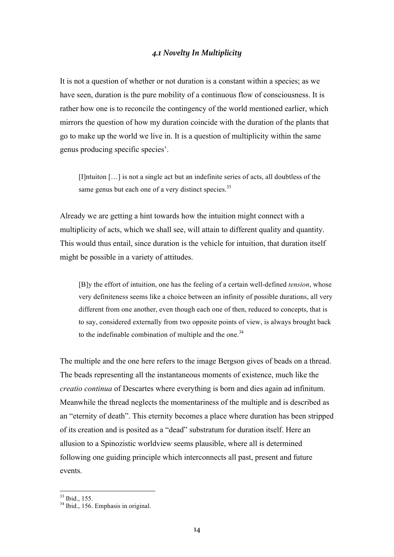#### *4.1 Novelty In Multiplicity*

It is not a question of whether or not duration is a constant within a species; as we have seen, duration is the pure mobility of a continuous flow of consciousness. It is rather how one is to reconcile the contingency of the world mentioned earlier, which mirrors the question of how my duration coincide with the duration of the plants that go to make up the world we live in. It is a question of multiplicity within the same genus producing specific species'.

[I]ntuiton […] is not a single act but an indefinite series of acts, all doubtless of the same genus but each one of a very distinct species. $33$ 

Already we are getting a hint towards how the intuition might connect with a multiplicity of acts, which we shall see, will attain to different quality and quantity. This would thus entail, since duration is the vehicle for intuition, that duration itself might be possible in a variety of attitudes.

[B]y the effort of intuition, one has the feeling of a certain well-defined *tension*, whose very definiteness seems like a choice between an infinity of possible durations, all very different from one another, even though each one of then, reduced to concepts, that is to say, considered externally from two opposite points of view, is always brought back to the indefinable combination of multiple and the one.<sup>34</sup>

The multiple and the one here refers to the image Bergson gives of beads on a thread. The beads representing all the instantaneous moments of existence, much like the *creatio continua* of Descartes where everything is born and dies again ad infinitum. Meanwhile the thread neglects the momentariness of the multiple and is described as an "eternity of death". This eternity becomes a place where duration has been stripped of its creation and is posited as a "dead" substratum for duration itself. Here an allusion to a Spinozistic worldview seems plausible, where all is determined following one guiding principle which interconnects all past, present and future events.

 $33$  Ibid., 155.<br> $34$  Ibid., 156. Emphasis in original.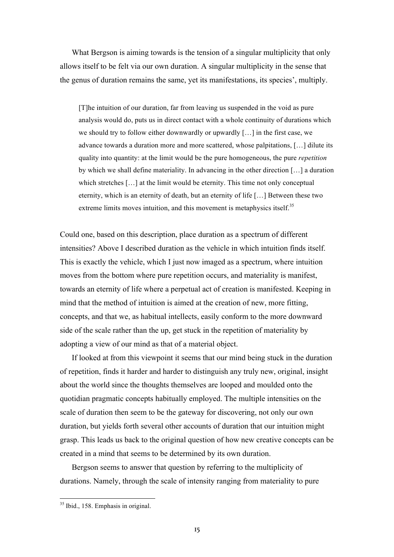What Bergson is aiming towards is the tension of a singular multiplicity that only allows itself to be felt via our own duration. A singular multiplicity in the sense that the genus of duration remains the same, yet its manifestations, its species', multiply.

[T]he intuition of our duration, far from leaving us suspended in the void as pure analysis would do, puts us in direct contact with a whole continuity of durations which we should try to follow either downwardly or upwardly [...] in the first case, we advance towards a duration more and more scattered, whose palpitations, […] dilute its quality into quantity: at the limit would be the pure homogeneous, the pure *repetition* by which we shall define materiality. In advancing in the other direction […] a duration which stretches [...] at the limit would be eternity. This time not only conceptual eternity, which is an eternity of death, but an eternity of life […] Between these two extreme limits moves intuition, and this movement is metaphysics itself.<sup>35</sup>

Could one, based on this description, place duration as a spectrum of different intensities? Above I described duration as the vehicle in which intuition finds itself. This is exactly the vehicle, which I just now imaged as a spectrum, where intuition moves from the bottom where pure repetition occurs, and materiality is manifest, towards an eternity of life where a perpetual act of creation is manifested. Keeping in mind that the method of intuition is aimed at the creation of new, more fitting, concepts, and that we, as habitual intellects, easily conform to the more downward side of the scale rather than the up, get stuck in the repetition of materiality by adopting a view of our mind as that of a material object.

If looked at from this viewpoint it seems that our mind being stuck in the duration of repetition, finds it harder and harder to distinguish any truly new, original, insight about the world since the thoughts themselves are looped and moulded onto the quotidian pragmatic concepts habitually employed. The multiple intensities on the scale of duration then seem to be the gateway for discovering, not only our own duration, but yields forth several other accounts of duration that our intuition might grasp. This leads us back to the original question of how new creative concepts can be created in a mind that seems to be determined by its own duration.

Bergson seems to answer that question by referring to the multiplicity of durations. Namely, through the scale of intensity ranging from materiality to pure

 <sup>35</sup> Ibid., 158. Emphasis in original.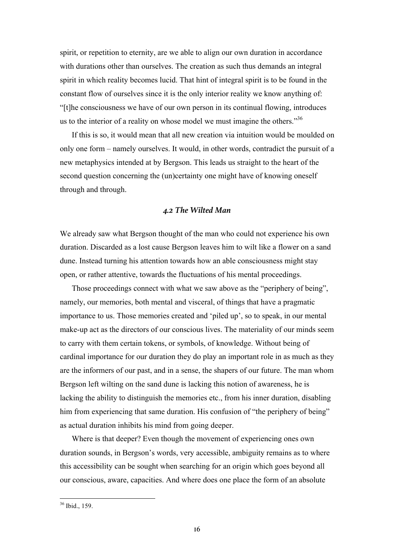spirit, or repetition to eternity, are we able to align our own duration in accordance with durations other than ourselves. The creation as such thus demands an integral spirit in which reality becomes lucid. That hint of integral spirit is to be found in the constant flow of ourselves since it is the only interior reality we know anything of: "[t]he consciousness we have of our own person in its continual flowing, introduces us to the interior of a reality on whose model we must imagine the others."<sup>36</sup>

If this is so, it would mean that all new creation via intuition would be moulded on only one form – namely ourselves. It would, in other words, contradict the pursuit of a new metaphysics intended at by Bergson. This leads us straight to the heart of the second question concerning the (un)certainty one might have of knowing oneself through and through.

### *4.2 The Wilted Man*

We already saw what Bergson thought of the man who could not experience his own duration. Discarded as a lost cause Bergson leaves him to wilt like a flower on a sand dune. Instead turning his attention towards how an able consciousness might stay open, or rather attentive, towards the fluctuations of his mental proceedings.

Those proceedings connect with what we saw above as the "periphery of being", namely, our memories, both mental and visceral, of things that have a pragmatic importance to us. Those memories created and 'piled up', so to speak, in our mental make-up act as the directors of our conscious lives. The materiality of our minds seem to carry with them certain tokens, or symbols, of knowledge. Without being of cardinal importance for our duration they do play an important role in as much as they are the informers of our past, and in a sense, the shapers of our future. The man whom Bergson left wilting on the sand dune is lacking this notion of awareness, he is lacking the ability to distinguish the memories etc., from his inner duration, disabling him from experiencing that same duration. His confusion of "the periphery of being" as actual duration inhibits his mind from going deeper.

Where is that deeper? Even though the movement of experiencing ones own duration sounds, in Bergson's words, very accessible, ambiguity remains as to where this accessibility can be sought when searching for an origin which goes beyond all our conscious, aware, capacities. And where does one place the form of an absolute

 <sup>36</sup> Ibid., 159.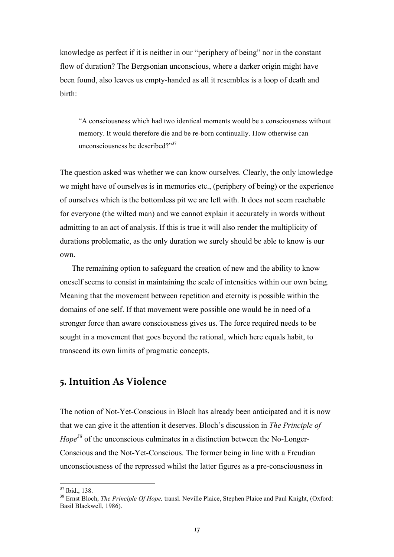knowledge as perfect if it is neither in our "periphery of being" nor in the constant flow of duration? The Bergsonian unconscious, where a darker origin might have been found, also leaves us empty-handed as all it resembles is a loop of death and birth:

"A consciousness which had two identical moments would be a consciousness without memory. It would therefore die and be re-born continually. How otherwise can unconsciousness be described?"<sup>37</sup>

The question asked was whether we can know ourselves. Clearly, the only knowledge we might have of ourselves is in memories etc., (periphery of being) or the experience of ourselves which is the bottomless pit we are left with. It does not seem reachable for everyone (the wilted man) and we cannot explain it accurately in words without admitting to an act of analysis. If this is true it will also render the multiplicity of durations problematic, as the only duration we surely should be able to know is our own.

The remaining option to safeguard the creation of new and the ability to know oneself seems to consist in maintaining the scale of intensities within our own being. Meaning that the movement between repetition and eternity is possible within the domains of one self. If that movement were possible one would be in need of a stronger force than aware consciousness gives us. The force required needs to be sought in a movement that goes beyond the rational, which here equals habit, to transcend its own limits of pragmatic concepts.

## **5. Intuition As Violence**

The notion of Not-Yet-Conscious in Bloch has already been anticipated and it is now that we can give it the attention it deserves. Bloch's discussion in *The Principle of Hope*<sup>38</sup> of the unconscious culminates in a distinction between the No-Longer-Conscious and the Not-Yet-Conscious. The former being in line with a Freudian unconsciousness of the repressed whilst the latter figures as a pre-consciousness in

<sup>&</sup>lt;sup>37</sup> Ibid., 138.<br><sup>38</sup> Ernst Bloch, *The Principle Of Hope*, transl. Neville Plaice, Stephen Plaice and Paul Knight, (Oxford: Basil Blackwell, 1986).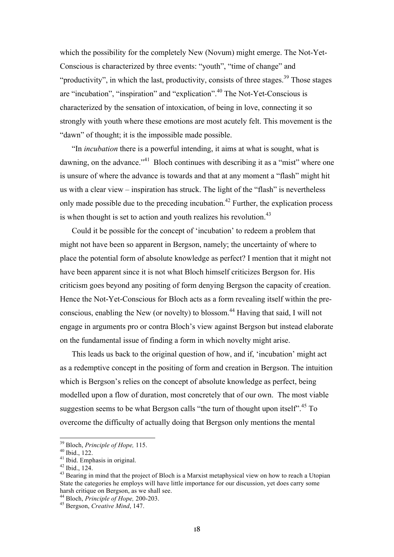which the possibility for the completely New (Novum) might emerge. The Not-Yet-Conscious is characterized by three events: "youth", "time of change" and "productivity", in which the last, productivity, consists of three stages.<sup>39</sup> Those stages are "incubation", "inspiration" and "explication".<sup>40</sup> The Not-Yet-Conscious is characterized by the sensation of intoxication, of being in love, connecting it so strongly with youth where these emotions are most acutely felt. This movement is the "dawn" of thought; it is the impossible made possible.

"In *incubation* there is a powerful intending, it aims at what is sought, what is dawning, on the advance."<sup>41</sup> Bloch continues with describing it as a "mist" where one is unsure of where the advance is towards and that at any moment a "flash" might hit us with a clear view – inspiration has struck. The light of the "flash" is nevertheless only made possible due to the preceding incubation.<sup>42</sup> Further, the explication process is when thought is set to action and youth realizes his revolution. $43$ 

Could it be possible for the concept of 'incubation' to redeem a problem that might not have been so apparent in Bergson, namely; the uncertainty of where to place the potential form of absolute knowledge as perfect? I mention that it might not have been apparent since it is not what Bloch himself criticizes Bergson for. His criticism goes beyond any positing of form denying Bergson the capacity of creation. Hence the Not-Yet-Conscious for Bloch acts as a form revealing itself within the preconscious, enabling the New (or novelty) to blossom.<sup>44</sup> Having that said, I will not engage in arguments pro or contra Bloch's view against Bergson but instead elaborate on the fundamental issue of finding a form in which novelty might arise.

This leads us back to the original question of how, and if, 'incubation' might act as a redemptive concept in the positing of form and creation in Bergson. The intuition which is Bergson's relies on the concept of absolute knowledge as perfect, being modelled upon a flow of duration, most concretely that of our own. The most viable suggestion seems to be what Bergson calls "the turn of thought upon itself".<sup>45</sup> To overcome the difficulty of actually doing that Bergson only mentions the mental

<sup>&</sup>lt;sup>39</sup> Bloch, *Principle of Hope,* 115.<br><sup>40</sup> Ibid., 122.<br><sup>41</sup> Ibid., 124.<br><sup>42</sup> Ibid., 124.<br><sup>43</sup> Bearing in mind that the project of Bloch is a Marxist metaphysical view on how to reach a Utopian State the categories he employs will have little importance for our discussion, yet does carry some harsh critique on Bergson, as we shall see.

<sup>44</sup> Bloch, *Principle of Hope,* 200-203. <sup>45</sup> Bergson, *Creative Mind*, 147.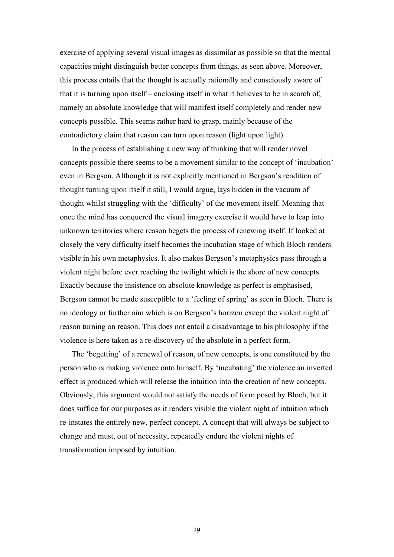exercise of applying several visual images as dissimilar as possible so that the mental capacities might distinguish better concepts from things, as seen above. Moreover, this process entails that the thought is actually rationally and consciously aware of that it is turning upon itself – enclosing itself in what it believes to be in search of, namely an absolute knowledge that will manifest itself completely and render new concepts possible. This seems rather hard to grasp, mainly because of the contradictory claim that reason can turn upon reason (light upon light).

In the process of establishing a new way of thinking that will render novel concepts possible there seems to be a movement similar to the concept of 'incubation' even in Bergson. Although it is not explicitly mentioned in Bergson's rendition of thought turning upon itself it still, I would argue, lays hidden in the vacuum of thought whilst struggling with the 'difficulty' of the movement itself. Meaning that once the mind has conquered the visual imagery exercise it would have to leap into unknown territories where reason begets the process of renewing itself. If looked at closely the very difficulty itself becomes the incubation stage of which Bloch renders visible in his own metaphysics. It also makes Bergson's metaphysics pass through a violent night before ever reaching the twilight which is the shore of new concepts. Exactly because the insistence on absolute knowledge as perfect is emphasised, Bergson cannot be made susceptible to a 'feeling of spring' as seen in Bloch. There is no ideology or further aim which is on Bergson's horizon except the violent night of reason turning on reason. This does not entail a disadvantage to his philosophy if the violence is here taken as a re-discovery of the absolute in a perfect form.

The 'begetting' of a renewal of reason, of new concepts, is one constituted by the person who is making violence onto himself. By 'incubating' the violence an inverted effect is produced which will release the intuition into the creation of new concepts. Obviously, this argument would not satisfy the needs of form posed by Bloch, but it does suffice for our purposes as it renders visible the violent night of intuition which re-instates the entirely new, perfect concept. A concept that will always be subject to change and must, out of necessity, repeatedly endure the violent nights of transformation imposed by intuition.

19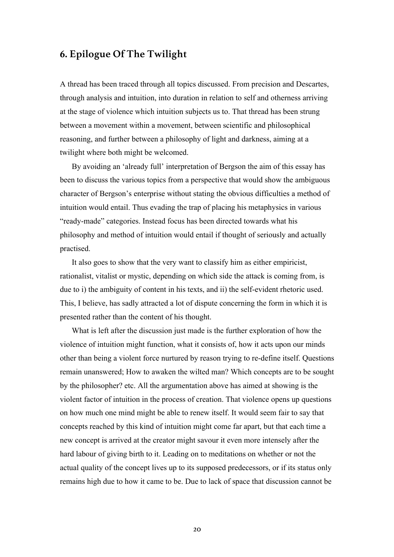## **6. Epilogue Of The Twilight**

A thread has been traced through all topics discussed. From precision and Descartes, through analysis and intuition, into duration in relation to self and otherness arriving at the stage of violence which intuition subjects us to. That thread has been strung between a movement within a movement, between scientific and philosophical reasoning, and further between a philosophy of light and darkness, aiming at a twilight where both might be welcomed.

By avoiding an 'already full' interpretation of Bergson the aim of this essay has been to discuss the various topics from a perspective that would show the ambiguous character of Bergson's enterprise without stating the obvious difficulties a method of intuition would entail. Thus evading the trap of placing his metaphysics in various "ready-made" categories. Instead focus has been directed towards what his philosophy and method of intuition would entail if thought of seriously and actually practised.

It also goes to show that the very want to classify him as either empiricist, rationalist, vitalist or mystic, depending on which side the attack is coming from, is due to i) the ambiguity of content in his texts, and ii) the self-evident rhetoric used. This, I believe, has sadly attracted a lot of dispute concerning the form in which it is presented rather than the content of his thought.

What is left after the discussion just made is the further exploration of how the violence of intuition might function, what it consists of, how it acts upon our minds other than being a violent force nurtured by reason trying to re-define itself. Questions remain unanswered; How to awaken the wilted man? Which concepts are to be sought by the philosopher? etc. All the argumentation above has aimed at showing is the violent factor of intuition in the process of creation. That violence opens up questions on how much one mind might be able to renew itself. It would seem fair to say that concepts reached by this kind of intuition might come far apart, but that each time a new concept is arrived at the creator might savour it even more intensely after the hard labour of giving birth to it. Leading on to meditations on whether or not the actual quality of the concept lives up to its supposed predecessors, or if its status only remains high due to how it came to be. Due to lack of space that discussion cannot be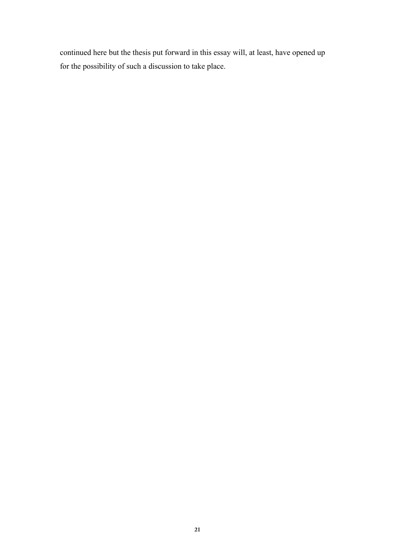continued here but the thesis put forward in this essay will, at least, have opened up for the possibility of such a discussion to take place.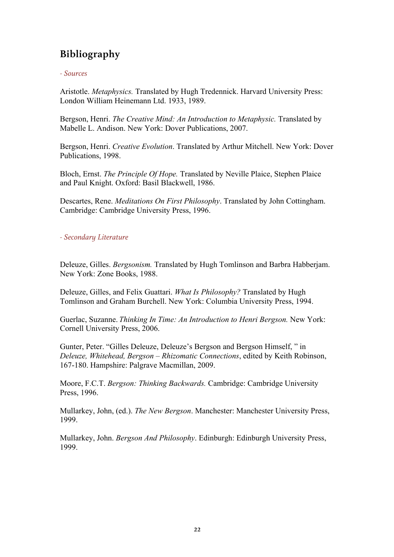# **Bibliography**

### *- Sources*

Aristotle. *Metaphysics.* Translated by Hugh Tredennick. Harvard University Press: London William Heinemann Ltd. 1933, 1989.

Bergson, Henri. *The Creative Mind: An Introduction to Metaphysic.* Translated by Mabelle L. Andison. New York: Dover Publications, 2007.

Bergson, Henri. *Creative Evolution*. Translated by Arthur Mitchell. New York: Dover Publications, 1998.

Bloch, Ernst. *The Principle Of Hope.* Translated by Neville Plaice, Stephen Plaice and Paul Knight. Oxford: Basil Blackwell, 1986.

Descartes, Rene. *Meditations On First Philosophy*. Translated by John Cottingham. Cambridge: Cambridge University Press, 1996.

*- Secondary Literature*

Deleuze, Gilles. *Bergsonism.* Translated by Hugh Tomlinson and Barbra Habberjam. New York: Zone Books, 1988.

Deleuze, Gilles, and Felix Guattari. *What Is Philosophy?* Translated by Hugh Tomlinson and Graham Burchell. New York: Columbia University Press, 1994.

Guerlac, Suzanne. *Thinking In Time: An Introduction to Henri Bergson.* New York: Cornell University Press, 2006.

Gunter, Peter. "Gilles Deleuze, Deleuze's Bergson and Bergson Himself, " in *Deleuze, Whitehead, Bergson – Rhizomatic Connections*, edited by Keith Robinson, 167-180. Hampshire: Palgrave Macmillan, 2009.

Moore, F.C.T. *Bergson: Thinking Backwards.* Cambridge: Cambridge University Press, 1996.

Mullarkey, John, (ed.). *The New Bergson*. Manchester: Manchester University Press, 1999.

Mullarkey, John. *Bergson And Philosophy*. Edinburgh: Edinburgh University Press, 1999.